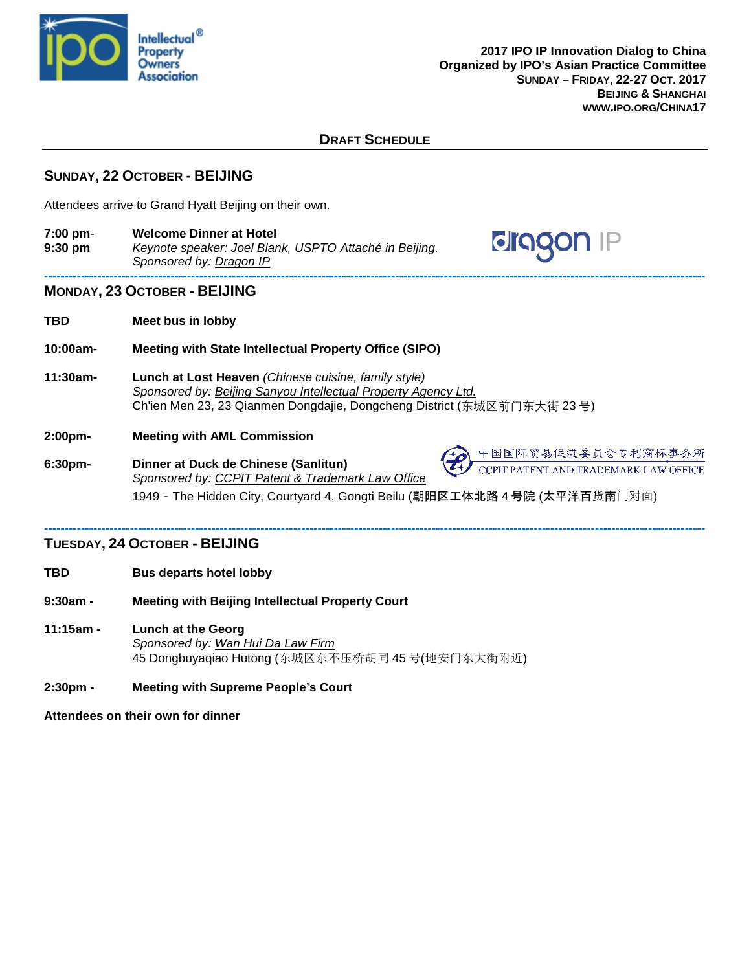

**aragon** 

## **DRAFT SCHEDULE**

# **SUNDAY, 22 OCTOBER - BEIJING**

Attendees arrive to Grand Hyatt Beijing on their own.

**7:00 pm**- **Welcome Dinner at Hotel 9:30 pm** *Keynote speaker: Joel Blank, USPTO Attaché in Beijing. Sponsored by: Dragon IP* **------------------------------------------------------------------------------------------------------------------------------------------------------------------**

### **MONDAY, 23 OCTOBER - BEIJING**

- **TBD Meet bus in lobby**
- **10:00am- Meeting with State Intellectual Property Office (SIPO)**
- **11:30am- Lunch at Lost Heaven** *(Chinese cuisine, family style) Sponsored by: Beijing Sanyou Intellectual Property Agency Ltd.* Ch'ien Men 23, 23 Qianmen Dongdajie, Dongcheng District (东城区前门东大街 23 号)

### **2:00pm- Meeting with AML Commission**

**6:30pm- Dinner at Duck de Chinese (Sanlitun)** *Sponsored by: CCPIT Patent & Trademark Law Office* 1949 – The Hidden City, Courtyard 4, Gongti Beilu (朝阳区工体北路 4 号院 (太平洋百货南门对面)

#### **------------------------------------------------------------------------------------------------------------------------------------------------------------------ TUESDAY, 24 OCTOBER - BEIJING**

- **TBD Bus departs hotel lobby**
- **9:30am - Meeting with Beijing Intellectual Property Court**
- **11:15am - Lunch at the Georg** *Sponsored by: Wan Hui Da Law Firm* 45 Dongbuyaqiao Hutong (东城区东不压桥胡同 45 号(地安门东大街附近)
- **2:30pm - Meeting with Supreme People's Court**

**Attendees on their own for dinner**